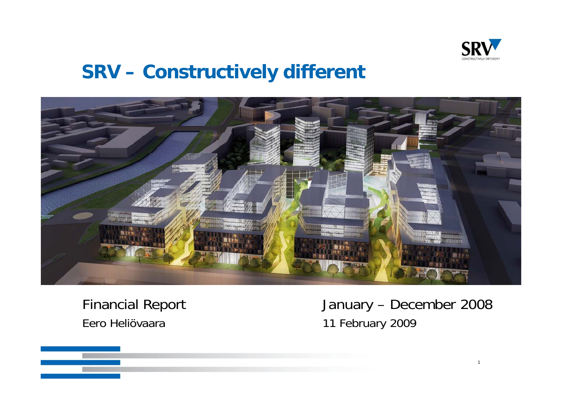

1

### **SRV – Constructively different**



# Eero Heliövaara 11 February 2009

Financial Report January – December 2008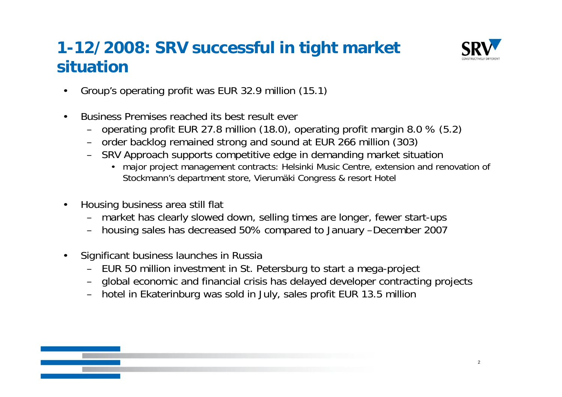### **1-12/2008: SRV successful in tight market situation**



- •Group's operating profit was EUR 32.9 million (15.1)
- • Business Premises reached its best result ever
	- operating profit EUR 27.8 million (18.0), operating profit margin 8.0 % (5.2)
	- order backlog remained strong and sound at EUR 266 million (303)
	- SRV Approach supports competitive edge in demanding market situation
		- major project management contracts: Helsinki Music Centre, extension and renovation of Stockmann's department store, Vierumäki Congress & resort Hotel
- • Housin g business area still flat
	- market has clearly slowed down, selling times are longer, fewer start-ups
	- housing sales has decreased 50% compared to January –December 2007
- • Significant business launches in Russia
	- EUR 50 million investment in St. Petersburg to start a mega-project
	- global economic and financial crisis has delayed developer contracting projects
	- hotel in Ekaterinbur g was sold in July, sales profit EUR 13.5 million

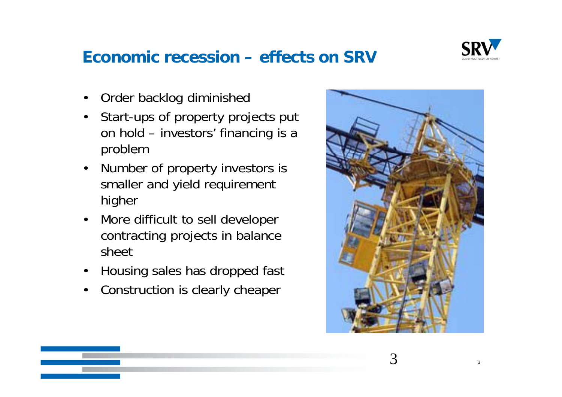

#### **Economic recession – effects on SRV**

- •Order backlog diminished
- • Start-ups of property projects put on hold – investors' financing is a problem
- $\bullet$  Number of property investors is smaller and yield requirement higher
- • More difficult to sell developer contracting projects in balance sheet
- $\bullet$ Housing sales has dropped fast
- •Construction is clearly cheaper

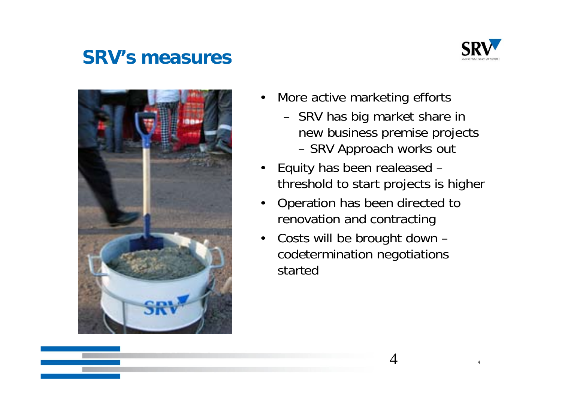### **SRV s' measures**





- $\bullet$  More active marketing efforts
	- SRV has big market share in new business premise projects SRV Approach works out
- • Equity has been realeased – threshold to start projects is higher
- $\bullet$ Operation has been directed to renovation and contracting
- $\bullet$  Costs will be brought down – codetermination negotiations startec

4

 $\mathbf{T}$  and  $\mathbf{A}$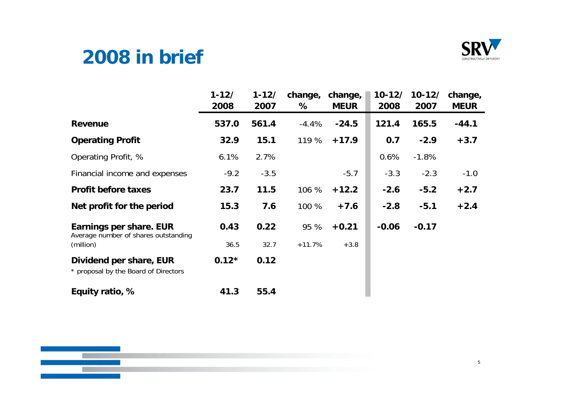### **2008 in brief**



|                                                                 | $1 - 12/$<br>2008 | $1 - 12/$<br>2007 | change,<br>℅ | change,<br><b>MEUR</b> | $10 - 12/$<br>2008 | $10 - 12/$<br>2007 | change,<br><b>MEUR</b> |
|-----------------------------------------------------------------|-------------------|-------------------|--------------|------------------------|--------------------|--------------------|------------------------|
| <b>Revenue</b>                                                  | 537.0             | 561.4             | $-4.4%$      | $-24.5$                | 121.4              | 165.5              | $-44.1$                |
| <b>Operating Profit</b>                                         | 32.9              | 15.1              | 119 %        | $+17.9$                | 0.7                | $-2.9$             | $+3.7$                 |
| Operating Profit, %                                             | 6.1%              | 2.7%              |              |                        | 0.6%               | $-1.8%$            |                        |
| Financial income and expenses                                   | $-9.2$            | $-3.5$            |              | $-5.7$                 | $-3.3$             | $-2.3$             | $-1.0$                 |
| <b>Profit before taxes</b>                                      | 23.7              | 11.5              | 106 %        | $+12.2$                | $-2.6$             | $-5.2$             | $+2.7$                 |
| Net profit for the period                                       | 15.3              | 7.6               | 100 %        | $+7.6$                 | $-2.8$             | $-5.1$             | $+2.4$                 |
| Earnings per share. EUR<br>Average number of shares outstanding | 0.43              | 0.22              | 95 %         | $+0.21$                | $-0.06$            | $-0.17$            |                        |
| (million)                                                       | 36.5              | 32.7              | $+11.7%$     | $+3.8$                 |                    |                    |                        |
| Dividend per share, EUR<br>* proposal by the Board of Directors | $0.12*$           | 0.12              |              |                        |                    |                    |                        |
| Equity ratio, %                                                 | 41.3              | 55.4              |              |                        |                    |                    |                        |

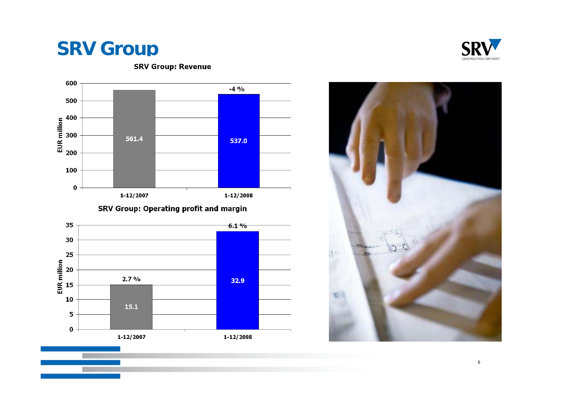### **SRV Group**



**SRV Group: Revenue** 

SRV Group: Operating profit and margin







6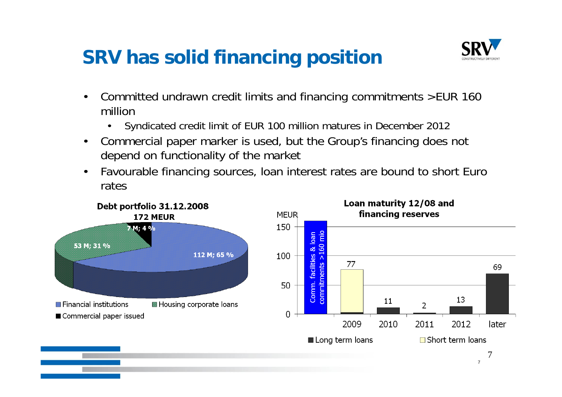## **SRV has solid financing position has**



- • Committed undrawn credit limits and financing commitments >EUR 160 million
	- $\bullet$ Syndicated credit limit of EUR 100 million matures in December 2012
- • Commercial paper marker is used, but the Group's financing does not depend on functionality of the market
- • Favourable financing sources, loan interest rates are bound to short Euro rates

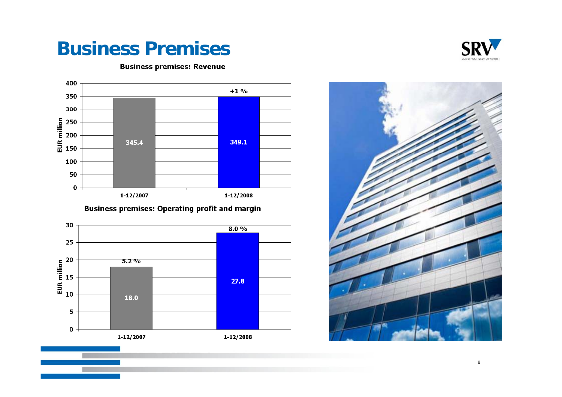### **Business Premises**



8



**Business premises: Revenue** 

#### **Business premises: Operating profit and margin**



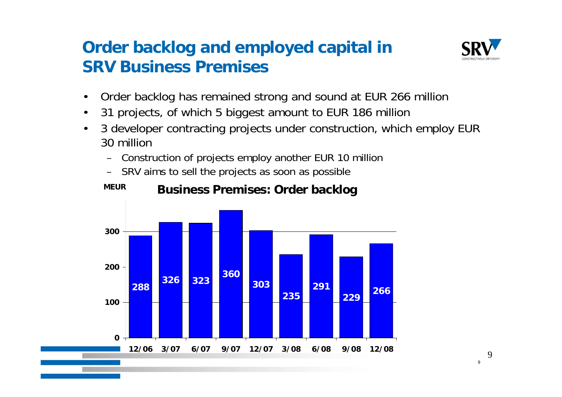#### **Order backlog and employed capital in SRV B siness P emisesusinessremises**



- •Order backlog has remained strong and sound at EUR 266 million
- •• 31 projects, of which 5 biggest amount to EUR 186 million
- • 3 developer contracting projects under construction, which employ EUR 30 million
	- Construction of projects employ another EUR 10 million
	- SRV aims to sell the projects as soon as possible



#### **MEUR** Business Premises: Order backlog

 $\alpha$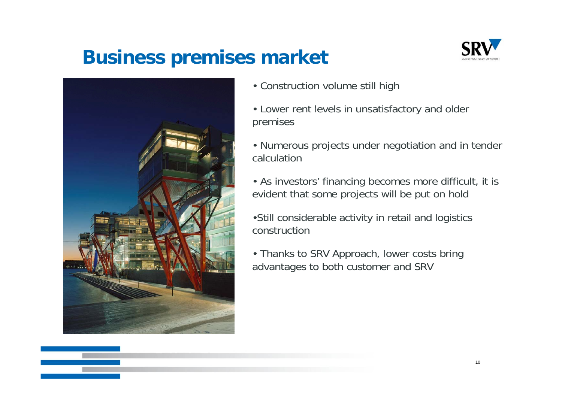### **Business premises market**





- Construction volume still high
- Lower rent levels in unsatisfactory and older premises
- Numerous projects under negotiation and in tender calculation
- As investors' financing becomes more difficult, it is evident that some projects will be put on hold
- •Still considerable activity in retail and logistics construction
- Thanks to SRV Approach, lower costs bring advantages to both customer and SRV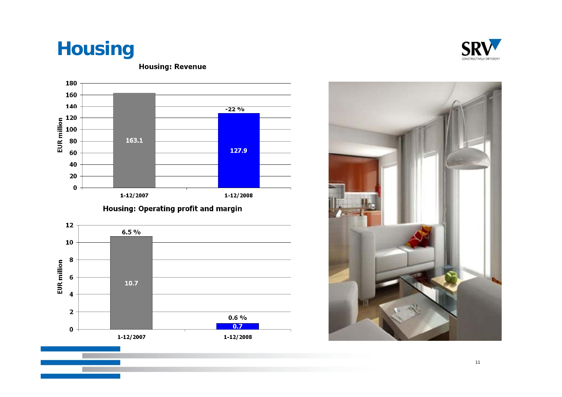## **Housing**



**Housing: Revenue** 

#### Housing: Operating profit and margin





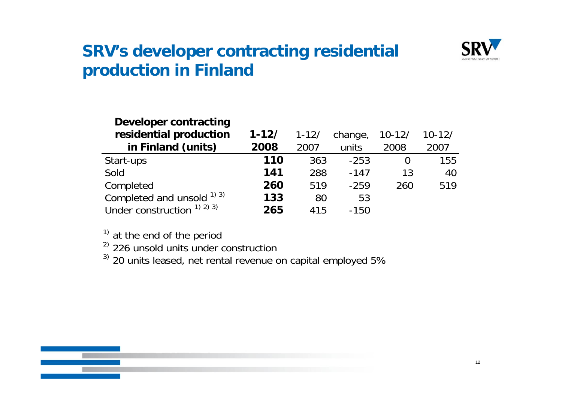

#### **SRV's developer contracting residential production in Finland**

| Developer contracting                |           |           |         |            |            |
|--------------------------------------|-----------|-----------|---------|------------|------------|
| residential production               | $1 - 12/$ | $1 - 12/$ | change, | $10 - 12/$ | $10 - 12/$ |
| in Finland (units)                   | 2008      | 2007      | units   | 2008       | 2007       |
| Start-ups                            | 110       | 363       | $-253$  |            | 155        |
| Sold                                 | 141       | 288       | $-147$  | 13         | 40         |
| Completed                            | 260       | 519       | $-259$  | 260        | 519        |
| Completed and unsold $^{1}$ 3)       | 133       | 80        | 53      |            |            |
| Under construction $(1)$ $(2)$ $(3)$ | 265       | 415       | $-150$  |            |            |

 $1)$  at the end of the period

<sup>2)</sup> 226 unsold units under construction<br><sup>3)</sup> 20 units leased, net rental revenue on capital employed 5%

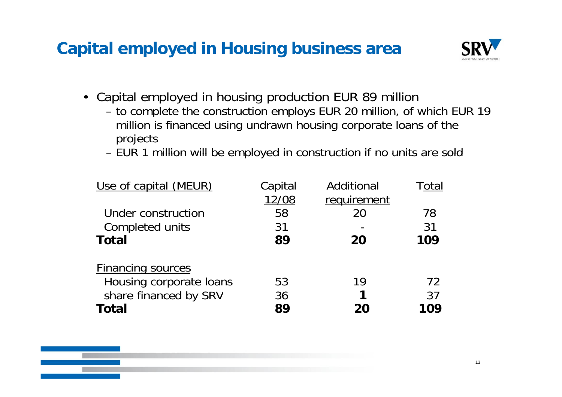### **Capital employed in Housing business area**



- Capital employed in housing production EUR 89 million
	- to complete the construction employs EUR 20 million, of which EUR 19 million is financed using undrawn housing corporate loans of the projects

EUR 1 million will be employed in construction if no units are sold

| Use of capital (MEUR)           | Capital<br>12/08 | Additional<br>requirement | Total    |
|---------------------------------|------------------|---------------------------|----------|
| Under construction              | 58               | 20                        | 78<br>31 |
| Completed units<br><b>Total</b> | 31<br>89         | 20                        | 109      |
| <b>Financing sources</b>        |                  |                           |          |
| Housing corporate loans         | 53               | 19                        | 72       |
| share financed by SRV           | 36               |                           | 37       |
| <b>Total</b>                    | 89               |                           | 109      |

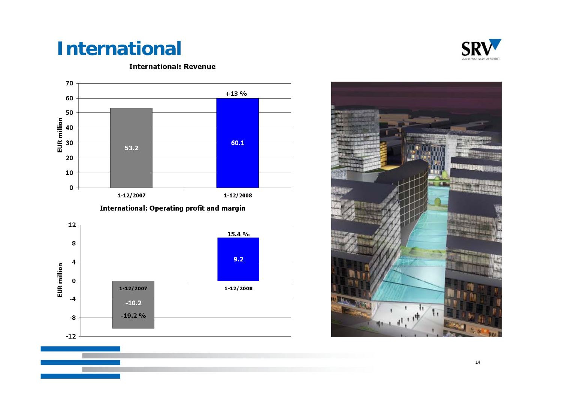## **International**



**International: Revenue** 

**International: Operating profit and margin** 





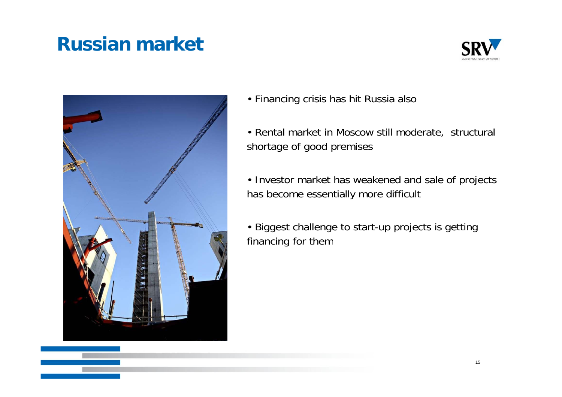### **Russian market**





- Financing crisis has hit Russia also
- Rental market in Moscow still moderate, structural shortage of good premises
- Investor market has weakened and sale of projects has become essentially more difficult
- Biggest challenge to start-up projects is getting financing for them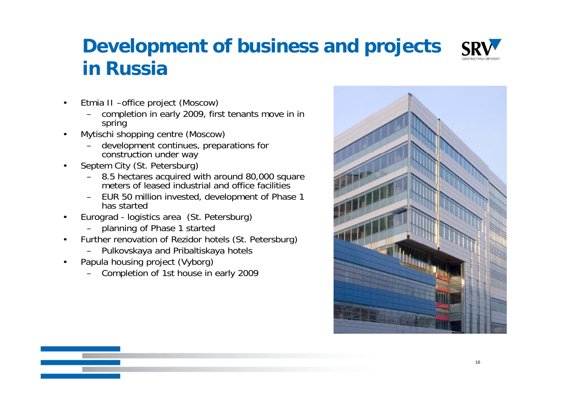## **Development of business and projects iR i n Russia**



- • Etmia II –office project (Moscow)
	- completion in early 2009, first tenants move in in spring
- • Mytischi shopping centre (Moscow)
	- development continues, preparations for construction under way
- • Septem City (St. Petersburg)
	- 8.5 hectares acquired with around 80,000 square meters of leased industrial and office facilities
	- EUR 50 million invested, development of Phase 1 has started
- • Eurograd - logistics area (St. Petersburg)
	- planning of Phase 1 started
- •Further renovation of Rezidor hotels (St. Petersburg)
	- Pulkovskaya and Pribaltiskaya hotels
- • Papula housing project (Vyborg)
	- Completion of 1st house in early 2009

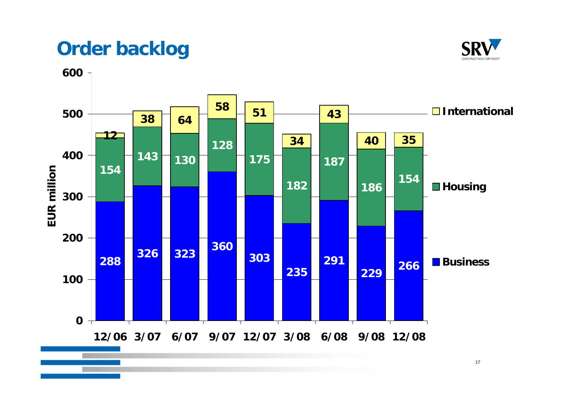### **Order backlog**



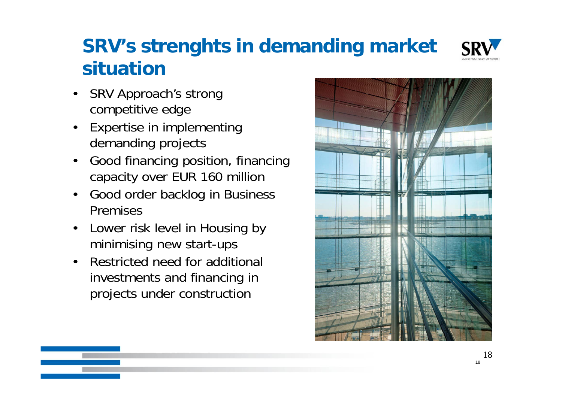## **SRV's strenghts in demanding market situation**



- • SRV Approach's strong competitive edge
- • Expertise in implementing demanding projects
- • Good financing position, financing capacity over EUR 160 million
- •Good order backlog in Business Premises
- • Lower risk level in Housing by minimising new start-ups
- • Restricted need for additional investments and financing in projects under constructior

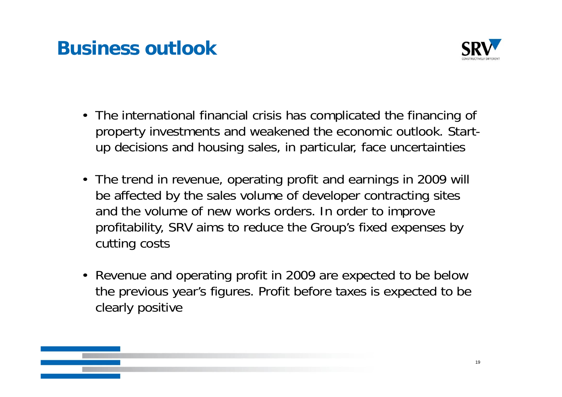### **Business outlook**



- The international financial crisis has complicated the financing of property investments and weakened the economic outlook. Startup decisions and housing sales, in particular, face uncertainties
- The trend in revenue, operating profit and earnings in 2009 will be affected by the sales volume of developer contracting sites and the volume of new works orders. In order to improve profitability, SRV aims to reduce the Group's fixed expenses by cutting costs
- Revenue and operating profit in 2009 are expected to be below the previous year's figures. Profit before taxes is expected to be clearly positive

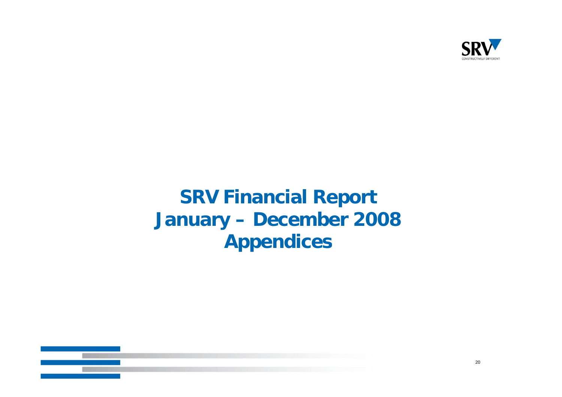

## **SRV Financial Report January – December 2008 Appendices**

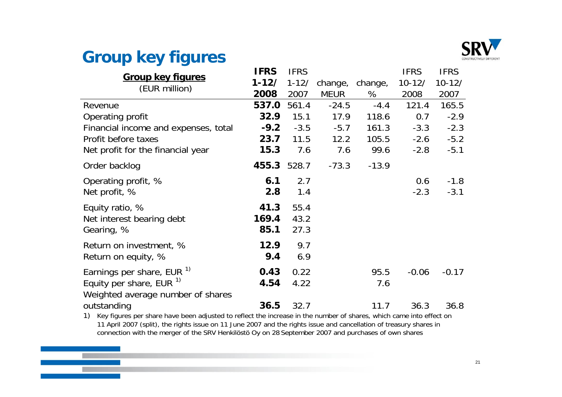

#### **Group** key figures

|                                                                                                                        | <b>IFRS</b> | <b>IFRS</b> |             |         | <b>IFRS</b> | <b>IFRS</b> |
|------------------------------------------------------------------------------------------------------------------------|-------------|-------------|-------------|---------|-------------|-------------|
| <b>Group key figures</b>                                                                                               | $1 - 12/$   | $1 - 12/$   | change,     | change, | $10 - 12/$  | $10 - 12/$  |
| (EUR million)                                                                                                          | 2008        | 2007        | <b>MEUR</b> | %       | 2008        | 2007        |
| Revenue                                                                                                                | 537.0       | 561.4       | $-24.5$     | $-4.4$  | 121.4       | 165.5       |
| Operating profit                                                                                                       | 32.9        | 15.1        | 17.9        | 118.6   | 0.7         | $-2.9$      |
| Financial income and expenses, total                                                                                   | $-9.2$      | $-3.5$      | $-5.7$      | 161.3   | $-3.3$      | $-2.3$      |
| Profit before taxes                                                                                                    | 23.7        | 11.5        | 12.2        | 105.5   | $-2.6$      | $-5.2$      |
| Net profit for the financial year                                                                                      | 15.3        | 7.6         | 7.6         | 99.6    | $-2.8$      | $-5.1$      |
| Order backlog                                                                                                          | 455.3 528.7 |             | $-73.3$     | $-13.9$ |             |             |
| Operating profit, %                                                                                                    | 6.1         | 2.7         |             |         | 0.6         | $-1.8$      |
| Net profit, %                                                                                                          | 2.8         | 1.4         |             |         | $-2.3$      | $-3.1$      |
| Equity ratio, %                                                                                                        | 41.3        | 55.4        |             |         |             |             |
| Net interest bearing debt                                                                                              | 169.4       | 43.2        |             |         |             |             |
| Gearing, %                                                                                                             | 85.1        | 27.3        |             |         |             |             |
| Return on investment, %                                                                                                | 12.9        | 9.7         |             |         |             |             |
| Return on equity, %                                                                                                    | 9.4         | 6.9         |             |         |             |             |
| Earnings per share, EUR <sup>1)</sup>                                                                                  | 0.43        | 0.22        |             | 95.5    | $-0.06$     | $-0.17$     |
| Equity per share, EUR $1$                                                                                              | 4.54        | 4.22        |             | 7.6     |             |             |
| Weighted average number of shares                                                                                      |             |             |             |         |             |             |
| outstanding                                                                                                            | 36.5        | 32.7        |             | 11.7    | 36.3        | 36.8        |
| 1) Key figures per share have been adjusted to reflect the increase in the number of shares, which came into effect on |             |             |             |         |             |             |

11 April 2007 (split), the rights issue on 11 June 2007 and the rights issue and cancellation of treasury shares in connection with the merger of the SRV Henkilöstö Oy on 28 September 2007 and purchases of own shares purchases

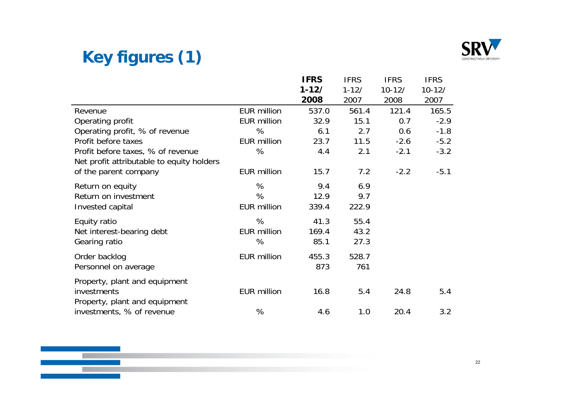

### **Key g () fi ures (1)**

**Tari** 

|                                                                                |                    | <b>IFRS</b> | <b>IFRS</b> | <b>IFRS</b> | <b>IFRS</b> |
|--------------------------------------------------------------------------------|--------------------|-------------|-------------|-------------|-------------|
|                                                                                |                    | $1 - 12/$   | $1 - 12/$   | $10 - 12/$  | $10 - 12/$  |
|                                                                                |                    | 2008        | 2007        | 2008        | 2007        |
| Revenue                                                                        | <b>EUR million</b> | 537.0       | 561.4       | 121.4       | 165.5       |
| Operating profit                                                               | <b>EUR million</b> | 32.9        | 15.1        | 0.7         | $-2.9$      |
| Operating profit, % of revenue                                                 | %                  | 6.1         | 2.7         | 0.6         | $-1.8$      |
| Profit before taxes                                                            | <b>EUR million</b> | 23.7        | 11.5        | $-2.6$      | $-5.2$      |
| Profit before taxes, % of revenue<br>Net profit attributable to equity holders | %                  | 4.4         | 2.1         | $-2.1$      | $-3.2$      |
| of the parent company                                                          | <b>EUR million</b> | 15.7        | 7.2         | $-2.2$      | $-5.1$      |
| Return on equity                                                               | %                  | 9.4         | 6.9         |             |             |
| Return on investment                                                           | %                  | 12.9        | 9.7         |             |             |
| Invested capital                                                               | <b>EUR million</b> | 339.4       | 222.9       |             |             |
| Equity ratio                                                                   | %                  | 41.3        | 55.4        |             |             |
| Net interest-bearing debt                                                      | <b>EUR million</b> | 169.4       | 43.2        |             |             |
| Gearing ratio                                                                  | %                  | 85.1        | 27.3        |             |             |
| Order backlog                                                                  | <b>EUR million</b> | 455.3       | 528.7       |             |             |
| Personnel on average                                                           |                    | 873         | 761         |             |             |
| Property, plant and equipment                                                  |                    |             |             |             |             |
| investments                                                                    | <b>EUR million</b> | 16.8        | 5.4         | 24.8        | 5.4         |
| Property, plant and equipment                                                  |                    |             |             |             |             |
| investments, % of revenue                                                      | %                  | 4.6         | 1.0         | 20.4        | 3.2         |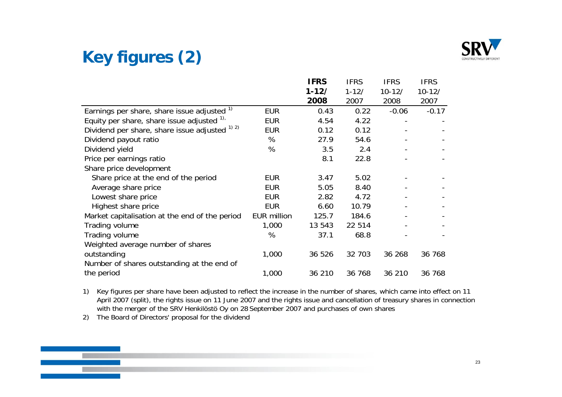

### **Key figures (2)**

|                                                |                    | <b>IFRS</b> | <b>IFRS</b> | <b>IFRS</b> | <b>IFRS</b> |
|------------------------------------------------|--------------------|-------------|-------------|-------------|-------------|
|                                                |                    | $1 - 12/$   | $1 - 12/$   | $10 - 12/$  | $10 - 12/$  |
|                                                |                    | 2008        | 2007        | 2008        | 2007        |
| Earnings per share, share issue adjusted 1)    | <b>EUR</b>         | 0.43        | 0.22        | $-0.06$     | $-0.17$     |
| Equity per share, share issue adjusted 1).     | <b>EUR</b>         | 4.54        | 4.22        |             |             |
| Dividend per share, share issue adjusted 1) 2) | <b>EUR</b>         | 0.12        | 0.12        |             |             |
| Dividend payout ratio                          | %                  | 27.9        | 54.6        |             |             |
| Dividend yield                                 | %                  | 3.5         | 2.4         |             |             |
| Price per earnings ratio                       |                    | 8.1         | 22.8        |             |             |
| Share price development                        |                    |             |             |             |             |
| Share price at the end of the period           | <b>EUR</b>         | 3.47        | 5.02        |             |             |
| Average share price                            | <b>EUR</b>         | 5.05        | 8.40        |             |             |
| Lowest share price                             | <b>EUR</b>         | 2.82        | 4.72        |             |             |
| Highest share price                            | <b>EUR</b>         | 6.60        | 10.79       |             |             |
| Market capitalisation at the end of the period | <b>EUR million</b> | 125.7       | 184.6       |             |             |
| Trading volume                                 | 1,000              | 13 543      | 22 514      |             |             |
| Trading volume                                 | %                  | 37.1        | 68.8        |             |             |
| Weighted average number of shares              |                    |             |             |             |             |
| outstanding                                    | 1,000              | 36 526      | 32 703      | 36 268      | 36 768      |
| Number of shares outstanding at the end of     |                    |             |             |             |             |
| the period                                     | 1,000              | 36 210      | 36 768      | 36 210      | 36 768      |

1) Key figures per share have been adjusted to reflect the increase in the number of shares, which came into effect on 11 April 2007 (split), the rights issue on 11 June 2007 and the rights issue and cancellation of treasury shares in connection with the merger of the SRV Henkilöstö Oy on 28 September 2007 and purchases of own shares

2) The Board of Directors' proposal for the dividend

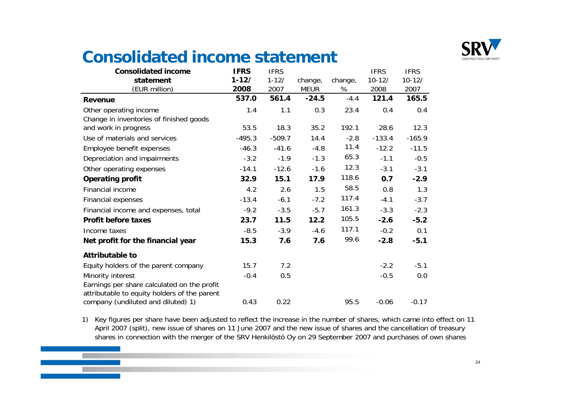

#### **Consolidated income statement**

| <b>Consolidated income</b>                   | <b>IFRS</b> | <b>IFRS</b> |             |         | <b>IFRS</b> | <b>IFRS</b> |
|----------------------------------------------|-------------|-------------|-------------|---------|-------------|-------------|
| statement                                    | $1 - 12/$   | $1 - 12/$   | change,     | change, | $10 - 12/$  | $10 - 12/$  |
| (EUR million)                                | 2008        | 2007        | <b>MEUR</b> | %       | 2008        | 2007        |
| <b>Revenue</b>                               | 537.0       | 561.4       | $-24.5$     | $-4.4$  | 121.4       | 165.5       |
| Other operating income                       | 1.4         | 1.1         | 0.3         | 23.4    | 0.4         | 0.4         |
| Change in inventories of finished goods      |             |             |             |         |             |             |
| and work in progress                         | 53.5        | 18.3        | 35.2        | 192.1   | 28.6        | 12.3        |
| Use of materials and services                | $-495.3$    | $-509.7$    | 14.4        | $-2.8$  | $-133.4$    | $-165.9$    |
| Employee benefit expenses                    | $-46.3$     | $-41.6$     | $-4.8$      | 11.4    | $-12.2$     | $-11.5$     |
| Depreciation and impairments                 | $-3.2$      | $-1.9$      | $-1.3$      | 65.3    | $-1.1$      | $-0.5$      |
| Other operating expenses                     | $-14.1$     | $-12.6$     | $-1.6$      | 12.3    | $-3.1$      | $-3.1$      |
| <b>Operating profit</b>                      | 32.9        | 15.1        | 17.9        | 118.6   | 0.7         | $-2.9$      |
| Financial income                             | 4.2         | 2.6         | 1.5         | 58.5    | 0.8         | 1.3         |
| <b>Financial expenses</b>                    | $-13.4$     | $-6.1$      | $-7.2$      | 117.4   | $-4.1$      | $-3.7$      |
| Financial income and expenses, total         | $-9.2$      | $-3.5$      | $-5.7$      | 161.3   | $-3.3$      | $-2.3$      |
| <b>Profit before taxes</b>                   | 23.7        | 11.5        | 12.2        | 105.5   | $-2.6$      | $-5.2$      |
| Income taxes                                 | $-8.5$      | $-3.9$      | $-4.6$      | 117.1   | $-0.2$      | 0.1         |
| Net profit for the financial year            | 15.3        | 7.6         | 7.6         | 99.6    | $-2.8$      | $-5.1$      |
| <b>Attributable to</b>                       |             |             |             |         |             |             |
| Equity holders of the parent company         | 15.7        | 7.2         |             |         | $-2.2$      | $-5.1$      |
| Minority interest                            | $-0.4$      | 0.5         |             |         | $-0.5$      | 0.0         |
| Earnings per share calculated on the profit  |             |             |             |         |             |             |
| attributable to equity holders of the parent |             |             |             |         |             |             |
| company (undiluted and diluted) 1)           | 0.43        | 0.22        |             | 95.5    | $-0.06$     | $-0.17$     |

1) Key figures per share have been adjusted to reflect the increase in the number of shares, which came into effect on 11 April 2007 (split), new issue of shares on 11 June 2007 and the new issue of shares and the cancellation of treasury shares in connection with the merger of the SRV Henkilöstö Oy on 29 September 2007 and purchases of own shares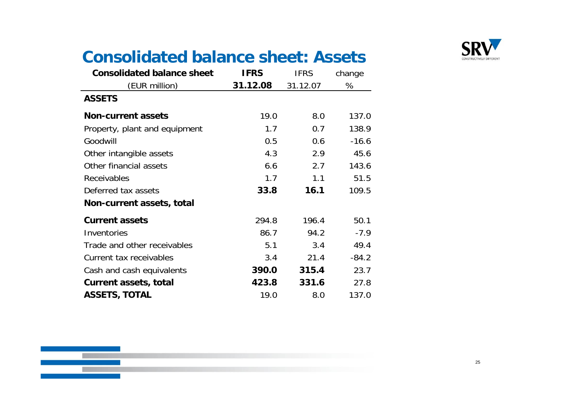

### **Consolidated balance sheet: Assets**

| <b>Consolidated balance sheet</b> | <b>IFRS</b> | <b>IFRS</b> | change  |
|-----------------------------------|-------------|-------------|---------|
| (EUR million)                     | 31.12.08    | 31.12.07    | %       |
| <b>ASSETS</b>                     |             |             |         |
| <b>Non-current assets</b>         | 19.0        | 8.0         | 137.0   |
| Property, plant and equipment     | 1.7         | 0.7         | 138.9   |
| Goodwill                          | 0.5         | 0.6         | $-16.6$ |
| Other intangible assets           | 4.3         | 2.9         | 45.6    |
| Other financial assets            | 6.6         | 2.7         | 143.6   |
| Receivables                       | 1.7         | 1.1         | 51.5    |
| Deferred tax assets               | 33.8        | 16.1        | 109.5   |
| Non-current assets, total         |             |             |         |
| <b>Current assets</b>             | 294.8       | 196.4       | 50.1    |
| Inventories                       | 86.7        | 94.2        | $-7.9$  |
| Trade and other receivables       | 5.1         | 3.4         | 49.4    |
| Current tax receivables           | 3.4         | 21.4        | $-84.2$ |
| Cash and cash equivalents         | 390.0       | 315.4       | 23.7    |
| <b>Current assets, total</b>      | 423.8       | 331.6       | 27.8    |
| <b>ASSETS, TOTAL</b>              | 19.0        | 8.0         | 137.0   |

and the state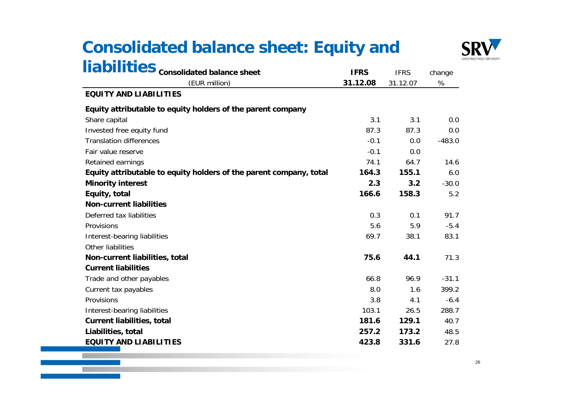### **Consolidated balance sheet: Equity and**



|                                                                    |             |             | co       |
|--------------------------------------------------------------------|-------------|-------------|----------|
| liabilities consolidated balance sheet                             | <b>IFRS</b> | <b>IFRS</b> | change   |
| (EUR million)                                                      | 31.12.08    | 31.12.07    | %        |
| <b>EQUITY AND LIABILITIES</b>                                      |             |             |          |
| Equity attributable to equity holders of the parent company        |             |             |          |
| Share capital                                                      | 3.1         | 3.1         | 0.0      |
| Invested free equity fund                                          | 87.3        | 87.3        | 0.0      |
| <b>Translation differences</b>                                     | $-0.1$      | 0.0         | $-483.0$ |
| Fair value reserve                                                 | $-0.1$      | 0.0         |          |
| Retained earnings                                                  | 74.1        | 64.7        | 14.6     |
| Equity attributable to equity holders of the parent company, total | 164.3       | 155.1       | 6.0      |
| <b>Minority interest</b>                                           | 2.3         | 3.2         | $-30.0$  |
| Equity, total                                                      | 166.6       | 158.3       | 5.2      |
| <b>Non-current liabilities</b>                                     |             |             |          |
| Deferred tax liabilities                                           | 0.3         | 0.1         | 91.7     |
| Provisions                                                         | 5.6         | 5.9         | $-5.4$   |
| Interest-bearing liabilities                                       | 69.7        | 38.1        | 83.1     |
| Other liabilities                                                  |             |             |          |
| Non-current liabilities, total                                     | 75.6        | 44.1        | 71.3     |
| <b>Current liabilities</b>                                         |             |             |          |
| Trade and other payables                                           | 66.8        | 96.9        | $-31.1$  |
| Current tax payables                                               | 8.0         | 1.6         | 399.2    |
| Provisions                                                         | 3.8         | 4.1         | $-6.4$   |
| Interest-bearing liabilities                                       | 103.1       | 26.5        | 288.7    |
| <b>Current liabilities, total</b>                                  | 181.6       | 129.1       | 40.7     |
| Liabilities, total                                                 | 257.2       | 173.2       | 48.5     |
| <b>EQUITY AND LIABILITIES</b>                                      | 423.8       | 331.6       | 27.8     |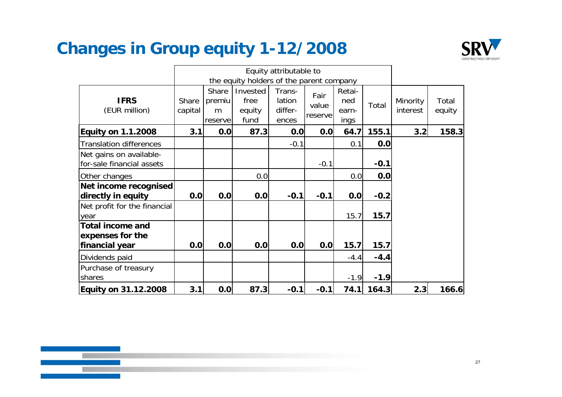### **Changes in Group equity 1-12/2008**



|                                                               |                  |                                 |                                          | Equity attributable to               |                          |                                |        |                      |                 |
|---------------------------------------------------------------|------------------|---------------------------------|------------------------------------------|--------------------------------------|--------------------------|--------------------------------|--------|----------------------|-----------------|
|                                                               |                  |                                 | the equity holders of the parent company |                                      |                          |                                |        |                      |                 |
| <b>IFRS</b><br>(EUR million)                                  | Share<br>capital | Share<br>premiu<br>m<br>reserve | Invested<br>free<br>equity<br>fund       | Trans-<br>lation<br>differ-<br>ences | Fair<br>value<br>reserve | Retai-<br>ned<br>earn-<br>ings | Total  | Minority<br>interest | Total<br>equity |
| <b>Equity on 1.1.2008</b>                                     | 3.1              | 0.0                             | 87.3                                     | 0.0                                  | 0.0                      | 64.7                           | 155.1  | 3.2                  | 158.3           |
| <b>Translation differences</b>                                |                  |                                 |                                          | $-0.1$                               |                          | 0.1                            | 0.0    |                      |                 |
| Net gains on available-<br>for-sale financial assets          |                  |                                 |                                          |                                      | $-0.1$                   |                                | $-0.1$ |                      |                 |
| Other changes                                                 |                  |                                 | 0.0                                      |                                      |                          | 0.0                            | 0.0    |                      |                 |
| Net income recognised<br>directly in equity                   | 0.0              | 0.0                             | 0.0                                      | $-0.1$                               | $-0.1$                   | 0.0                            | $-0.2$ |                      |                 |
| Net profit for the financial<br>year                          |                  |                                 |                                          |                                      |                          | 15.7                           | 15.7   |                      |                 |
| <b>Total income and</b><br>expenses for the<br>financial year | 0.0              | 0.0                             | 0.0                                      | 0.0                                  | 0.0                      | 15.7                           | 15.7   |                      |                 |
| Dividends paid                                                |                  |                                 |                                          |                                      |                          | $-4.4$                         | $-4.4$ |                      |                 |
| Purchase of treasury<br>shares                                |                  |                                 |                                          |                                      |                          | $-1.9$                         | $-1.9$ |                      |                 |
| <b>Equity on 31.12.2008</b>                                   | 3.1              | 0.0                             | 87.3                                     | $-0.1$                               | $-0.1$                   | 74.1                           | 164.3  | 2.3                  | 166.6           |

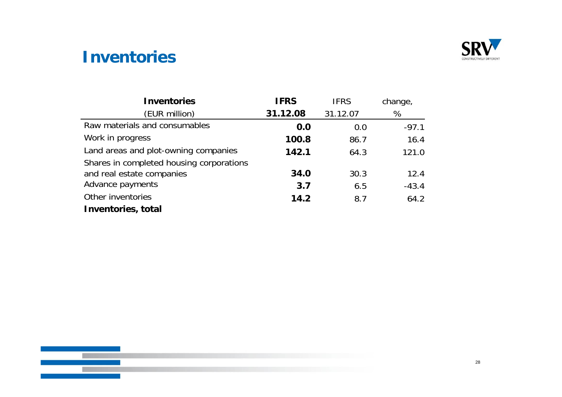

#### **Inventories**

| <b>Inventories</b>                       | <b>IFRS</b> | <b>IFRS</b> | change, |
|------------------------------------------|-------------|-------------|---------|
| (EUR million)                            | 31.12.08    | 31.12.07    | %       |
| Raw materials and consumables            | 0.0         | 0.0         | $-97.1$ |
| Work in progress                         | 100.8       | 86.7        | 16.4    |
| Land areas and plot-owning companies     | 142.1       | 64.3        | 121.0   |
| Shares in completed housing corporations |             |             |         |
| and real estate companies                | 34.0        | 30.3        | 12.4    |
| Advance payments                         | 3.7         | 6.5         | $-43.4$ |
| Other inventories                        | 14.2        | 8.7         | 64.2    |
| <b>Inventories, total</b>                |             |             |         |

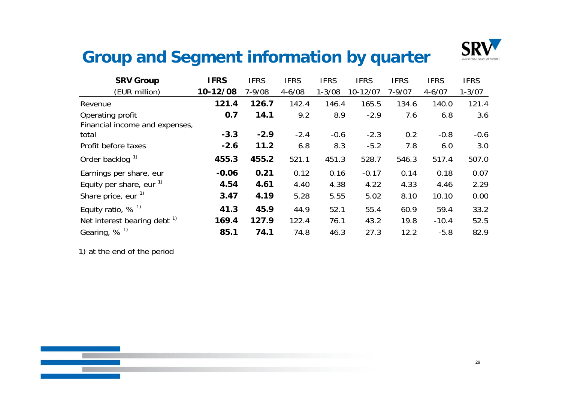

#### **Group g yq and Segment information by quarter**

| <b>SRV Group</b>                        | <b>IFRS</b> | <b>IFRS</b> | <b>IFRS</b> | <b>IFRS</b> | <b>IFRS</b> | <b>IFRS</b> | <b>IFRS</b> | <b>IFRS</b> |
|-----------------------------------------|-------------|-------------|-------------|-------------|-------------|-------------|-------------|-------------|
| (EUR million)                           | 10-12/08    | $7 - 9/08$  | $4 - 6/08$  | $1 - 3/08$  | 10-12/07    | $7 - 9/07$  | $4 - 6/07$  | $1 - 3/07$  |
| Revenue                                 | 121.4       | 126.7       | 142.4       | 146.4       | 165.5       | 134.6       | 140.0       | 121.4       |
| Operating profit                        | 0.7         | 14.1        | 9.2         | 8.9         | $-2.9$      | 7.6         | 6.8         | 3.6         |
| Financial income and expenses,          |             |             |             |             |             |             |             |             |
| total                                   | $-3.3$      | $-2.9$      | $-2.4$      | $-0.6$      | $-2.3$      | 0.2         | $-0.8$      | $-0.6$      |
| Profit before taxes                     | $-2.6$      | 11.2        | 6.8         | 8.3         | $-5.2$      | 7.8         | 6.0         | 3.0         |
| Order backlog <sup>1)</sup>             | 455.3       | 455.2       | 521.1       | 451.3       | 528.7       | 546.3       | 517.4       | 507.0       |
| Earnings per share, eur                 | $-0.06$     | 0.21        | 0.12        | 0.16        | $-0.17$     | 0.14        | 0.18        | 0.07        |
| Equity per share, eur $\frac{1}{1}$     | 4.54        | 4.61        | 4.40        | 4.38        | 4.22        | 4.33        | 4.46        | 2.29        |
| Share price, eur <sup>1)</sup>          | 3.47        | 4.19        | 5.28        | 5.55        | 5.02        | 8.10        | 10.10       | 0.00        |
| Equity ratio, $% ^{1}$                  | 41.3        | 45.9        | 44.9        | 52.1        | 55.4        | 60.9        | 59.4        | 33.2        |
| Net interest bearing debt <sup>1)</sup> | 169.4       | 127.9       | 122.4       | 76.1        | 43.2        | 19.8        | $-10.4$     | 52.5        |
| Gearing, $%$ <sup>1)</sup>              | 85.1        | 74.1        | 74.8        | 46.3        | 27.3        | 12.2        | $-5.8$      | 82.9        |

1) at the end of the period

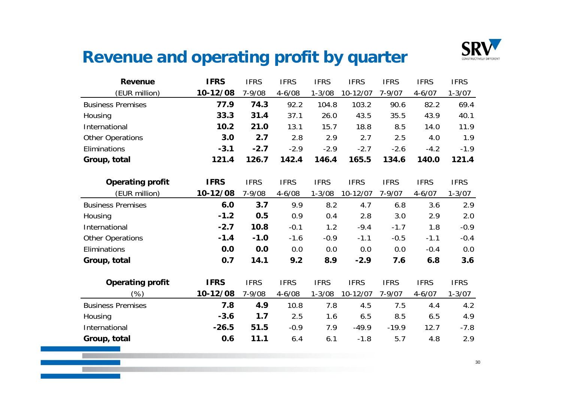

### **Revenue and operating profit by quarter**

| <b>Revenue</b>           | <b>IFRS</b> | <b>IFRS</b> | <b>IFRS</b> | <b>IFRS</b> | <b>IFRS</b> | <b>IFRS</b> | <b>IFRS</b> | <b>IFRS</b> |
|--------------------------|-------------|-------------|-------------|-------------|-------------|-------------|-------------|-------------|
| (EUR million)            | 10-12/08    | $7 - 9/08$  | $4 - 6/08$  | $1 - 3/08$  | 10-12/07    | $7 - 9/07$  | $4 - 6/07$  | $1 - 3/07$  |
| <b>Business Premises</b> | 77.9        | 74.3        | 92.2        | 104.8       | 103.2       | 90.6        | 82.2        | 69.4        |
| Housing                  | 33.3        | 31.4        | 37.1        | 26.0        | 43.5        | 35.5        | 43.9        | 40.1        |
| International            | 10.2        | 21.0        | 13.1        | 15.7        | 18.8        | 8.5         | 14.0        | 11.9        |
| <b>Other Operations</b>  | 3.0         | 2.7         | 2.8         | 2.9         | 2.7         | 2.5         | 4.0         | 1.9         |
| Eliminations             | $-3.1$      | $-2.7$      | $-2.9$      | $-2.9$      | $-2.7$      | $-2.6$      | $-4.2$      | $-1.9$      |
| Group, total             | 121.4       | 126.7       | 142.4       | 146.4       | 165.5       | 134.6       | 140.0       | 121.4       |
|                          |             |             |             |             |             |             |             |             |
| <b>Operating profit</b>  | <b>IFRS</b> | <b>IFRS</b> | <b>IFRS</b> | <b>IFRS</b> | <b>IFRS</b> | <b>IFRS</b> | <b>IFRS</b> | <b>IFRS</b> |
| (EUR million)            | 10-12/08    | 7-9/08      | $4 - 6/08$  | $1 - 3/08$  | 10-12/07    | $7 - 9/07$  | $4 - 6/07$  | $1 - 3/07$  |
| <b>Business Premises</b> | 6.0         | 3.7         | 9.9         | 8.2         | 4.7         | 6.8         | 3.6         | 2.9         |
| Housing                  | $-1.2$      | 0.5         | 0.9         | 0.4         | 2.8         | 3.0         | 2.9         | 2.0         |
| International            | $-2.7$      | 10.8        | $-0.1$      | 1.2         | $-9.4$      | $-1.7$      | 1.8         | $-0.9$      |
| <b>Other Operations</b>  | $-1.4$      | $-1.0$      | $-1.6$      | $-0.9$      | $-1.1$      | $-0.5$      | $-1.1$      | $-0.4$      |
| Eliminations             | 0.0         | 0.0         | 0.0         | 0.0         | 0.0         | 0.0         | $-0.4$      | 0.0         |
| Group, total             | 0.7         | 14.1        | 9.2         | 8.9         | $-2.9$      | 7.6         | 6.8         | 3.6         |
|                          |             |             |             |             |             |             |             |             |
| <b>Operating profit</b>  | <b>IFRS</b> | <b>IFRS</b> | <b>IFRS</b> | <b>IFRS</b> | <b>IFRS</b> | <b>IFRS</b> | <b>IFRS</b> | <b>IFRS</b> |
| $(\%)$                   | 10-12/08    | $7 - 9/08$  | $4 - 6/08$  | $1 - 3/08$  | 10-12/07    | $7 - 9/07$  | $4 - 6/07$  | $1 - 3/07$  |
| <b>Business Premises</b> | 7.8         | 4.9         | 10.8        | 7.8         | 4.5         | 7.5         | 4.4         | 4.2         |
| Housing                  | $-3.6$      | 1.7         | 2.5         | 1.6         | 6.5         | 8.5         | 6.5         | 4.9         |
| International            | $-26.5$     | 51.5        | $-0.9$      | 7.9         | $-49.9$     | $-19.9$     | 12.7        | $-7.8$      |
| Group, total             | 0.6         | 11.1        | 6.4         | 6.1         | $-1.8$      | 5.7         | 4.8         | 2.9         |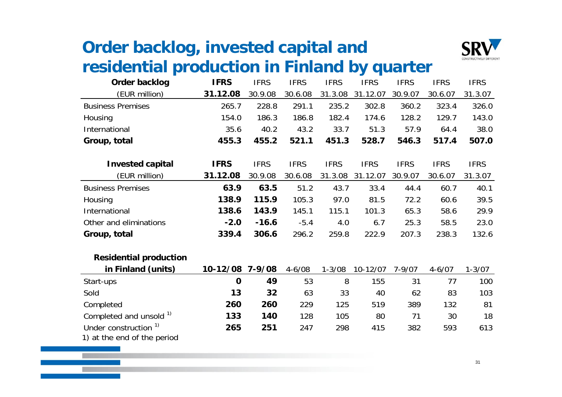### **Order backlog, invested capital and**  residential production in Finland by quarter



| Order backlog                 | <b>IFRS</b> | <b>IFRS</b> | <b>IFRS</b> | <b>IFRS</b> | <b>IFRS</b> | <b>IFRS</b> | <b>IFRS</b> | <b>IFRS</b> |
|-------------------------------|-------------|-------------|-------------|-------------|-------------|-------------|-------------|-------------|
| (EUR million)                 | 31.12.08    | 30.9.08     | 30.6.08     | 31.3.08     | 31.12.07    | 30.9.07     | 30.6.07     | 31.3.07     |
| <b>Business Premises</b>      | 265.7       | 228.8       | 291.1       | 235.2       | 302.8       | 360.2       | 323.4       | 326.0       |
| Housing                       | 154.0       | 186.3       | 186.8       | 182.4       | 174.6       | 128.2       | 129.7       | 143.0       |
| International                 | 35.6        | 40.2        | 43.2        | 33.7        | 51.3        | 57.9        | 64.4        | 38.0        |
| Group, total                  | 455.3       | 455.2       | 521.1       | 451.3       | 528.7       | 546.3       | 517.4       | 507.0       |
|                               |             |             |             |             |             |             |             |             |
| <b>Invested capital</b>       | <b>IFRS</b> | <b>IFRS</b> | <b>IFRS</b> | <b>IFRS</b> | <b>IFRS</b> | <b>IFRS</b> | <b>IFRS</b> | <b>IFRS</b> |
| (EUR million)                 | 31.12.08    | 30.9.08     | 30.6.08     | 31.3.08     | 31.12.07    | 30.9.07     | 30.6.07     | 31.3.07     |
| <b>Business Premises</b>      | 63.9        | 63.5        | 51.2        | 43.7        | 33.4        | 44.4        | 60.7        | 40.1        |
| Housing                       | 138.9       | 115.9       | 105.3       | 97.0        | 81.5        | 72.2        | 60.6        | 39.5        |
| International                 | 138.6       | 143.9       | 145.1       | 115.1       | 101.3       | 65.3        | 58.6        | 29.9        |
| Other and eliminations        | $-2.0$      | $-16.6$     | $-5.4$      | 4.0         | 6.7         | 25.3        | 58.5        | 23.0        |
| Group, total                  | 339.4       | 306.6       | 296.2       | 259.8       | 222.9       | 207.3       | 238.3       | 132.6       |
| <b>Residential production</b> |             |             |             |             |             |             |             |             |
| in Finland (units)            | 10-12/08    | $7 - 9/08$  | $4 - 6/08$  | $1 - 3/08$  | 10-12/07    | $7 - 9/07$  | $4 - 6/07$  | $1 - 3/07$  |

| Start-ups                          |     | 49  | 53  | 8   | 155 | 31  |     | 100 |
|------------------------------------|-----|-----|-----|-----|-----|-----|-----|-----|
| Sold                               | 13  | 32  | 63  | 33  | 40  | 62  | 83  | 103 |
| Completed                          | 260 | 260 | 229 | 125 | 519 | 389 | 132 | 81  |
| Completed and unsold <sup>1)</sup> | 133 | 140 | 128 | 105 | 80  |     | 30  | 18  |
| Under construction <sup>1)</sup>   | 265 | 251 | 247 | 298 | 415 | 382 | 593 | 613 |
| 1) at the end of the period        |     |     |     |     |     |     |     |     |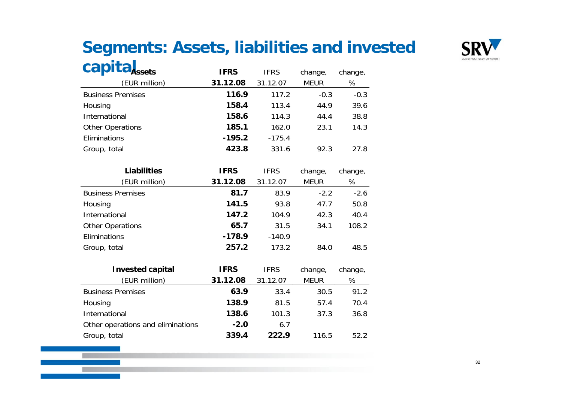# **Segments: Assets, liabilities and invested**



| <b>Capita</b> Assets              | <b>IFRS</b> | <b>IFRS</b> | change,     | change, |
|-----------------------------------|-------------|-------------|-------------|---------|
| (EUR million)                     | 31.12.08    | 31.12.07    | <b>MEUR</b> | %       |
| <b>Business Premises</b>          | 116.9       | 117.2       | $-0.3$      | $-0.3$  |
| Housing                           | 158.4       | 113.4       | 44.9        | 39.6    |
| International                     | 158.6       | 114.3       | 44.4        | 38.8    |
| <b>Other Operations</b>           | 185.1       | 162.0       | 23.1        | 14.3    |
| Eliminations                      | $-195.2$    | $-175.4$    |             |         |
| Group, total                      | 423.8       | 331.6       | 92.3        | 27.8    |
|                                   |             |             |             |         |
| <b>Liabilities</b>                | <b>IFRS</b> | <b>IFRS</b> | change,     | change, |
| (EUR million)                     | 31.12.08    | 31.12.07    | <b>MEUR</b> | %       |
| <b>Business Premises</b>          | 81.7        | 83.9        | $-2.2$      | $-2.6$  |
| Housing                           | 141.5       | 93.8        | 47.7        | 50.8    |
| International                     | 147.2       | 104.9       | 42.3        | 40.4    |
| <b>Other Operations</b>           | 65.7        | 31.5        | 34.1        | 108.2   |
| Eliminations                      | $-178.9$    | $-140.9$    |             |         |
| Group, total                      | 257.2       | 173.2       | 84.0        | 48.5    |
|                                   |             |             |             |         |
| <b>Invested capital</b>           | <b>IFRS</b> | <b>IFRS</b> | change,     | change, |
| (EUR million)                     | 31.12.08    | 31.12.07    | <b>MEUR</b> | %       |
| <b>Business Premises</b>          | 63.9        | 33.4        | 30.5        | 91.2    |
| Housing                           | 138.9       | 81.5        | 57.4        | 70.4    |
| International                     | 138.6       | 101.3       | 37.3        | 36.8    |
| Other operations and eliminations | $-2.0$      | 6.7         |             |         |
| Group, total                      | 339.4       | 222.9       | 116.5       | 52.2    |

Group, total **339.4 222.9** 116.5 52.2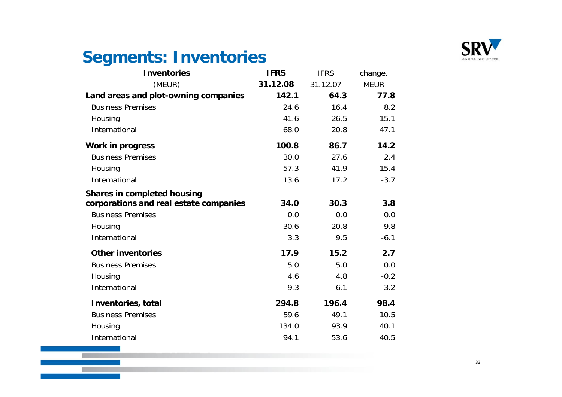

### **Segments: Inventories**

**STATE** 

| <b>Inventories</b>                     | <b>IFRS</b> | <b>IFRS</b> | change,     |
|----------------------------------------|-------------|-------------|-------------|
| (MEUR)                                 | 31.12.08    | 31.12.07    | <b>MEUR</b> |
| Land areas and plot-owning companies   | 142.1       | 64.3        | 77.8        |
| <b>Business Premises</b>               | 24.6        | 16.4        | 8.2         |
| Housing                                | 41.6        | 26.5        | 15.1        |
| International                          | 68.0        | 20.8        | 47.1        |
| <b>Work in progress</b>                | 100.8       | 86.7        | 14.2        |
| <b>Business Premises</b>               | 30.0        | 27.6        | 2.4         |
| Housing                                | 57.3        | 41.9        | 15.4        |
| International                          | 13.6        | 17.2        | $-3.7$      |
| <b>Shares in completed housing</b>     |             |             |             |
| corporations and real estate companies | 34.0        | 30.3        | 3.8         |
| <b>Business Premises</b>               | 0.0         | 0.0         | 0.0         |
| Housing                                | 30.6        | 20.8        | 9.8         |
| International                          | 3.3         | 9.5         | $-6.1$      |
| <b>Other inventories</b>               | 17.9        | 15.2        | 2.7         |
| <b>Business Premises</b>               | 5.0         | 5.0         | 0.0         |
| Housing                                | 4.6         | 4.8         | $-0.2$      |
| International                          | 9.3         | 6.1         | 3.2         |
| <b>Inventories, total</b>              | 294.8       | 196.4       | 98.4        |
| <b>Business Premises</b>               | 59.6        | 49.1        | 10.5        |
| Housing                                | 134.0       | 93.9        | 40.1        |
| International                          | 94.1        | 53.6        | 40.5        |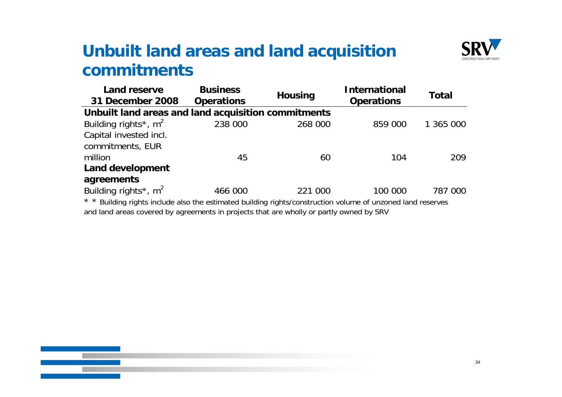#### **Unbuilt land areas and land acquisition commitments**



| Land reserve<br>31 December 2008                                                                                              | <b>Business</b><br><b>Operations</b> | <b>Housing</b> | <b>International</b><br><b>Operations</b> |           |
|-------------------------------------------------------------------------------------------------------------------------------|--------------------------------------|----------------|-------------------------------------------|-----------|
| Unbuilt land areas and land acquisition commitments                                                                           |                                      |                |                                           |           |
| Building rights <sup>*</sup> , $m^2$                                                                                          | 238 000                              | 268 000        | 859 000                                   | 1 365 000 |
| Capital invested incl.                                                                                                        |                                      |                |                                           |           |
| commitments, EUR                                                                                                              |                                      |                |                                           |           |
| million                                                                                                                       | 45                                   | 60             | 104                                       | 209       |
| <b>Land development</b>                                                                                                       |                                      |                |                                           |           |
| agreements                                                                                                                    |                                      |                |                                           |           |
| Building rights <sup>*</sup> , $m^2$                                                                                          | 466 000                              | 221 000        | 100 000                                   | 787 000   |
| $\star$ $\star$ Duillian sights include also the estimated building sights (construction values of unpersonal land reconverse |                                      |                |                                           |           |

Building rights include also the estimated building rights/construction volume of unzoned land reserves and land areas covered by agreements in projects that are wholly or partly owned by SRV

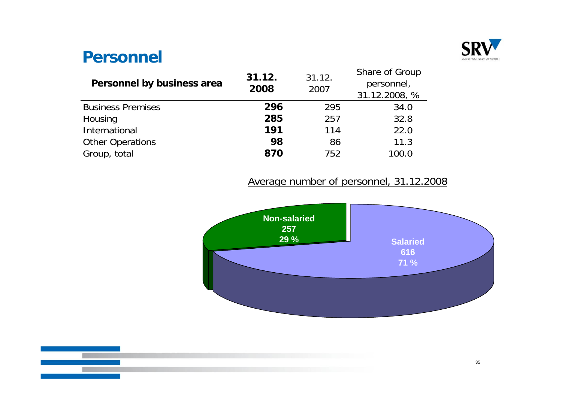

#### **Personnel**

| 31.12.<br>2008 | 31.12.<br>2007 | Share of Group<br>personnel,<br>31.12.2008, % |
|----------------|----------------|-----------------------------------------------|
| 296            | 295            | 34.0                                          |
| 285            | 257            | 32.8                                          |
| 191            | 114            | 22.0                                          |
| 98             | 86             | 11.3                                          |
| 870            | 752            | 100.0                                         |
|                |                |                                               |

#### Average number of personnel, 31.12.2008



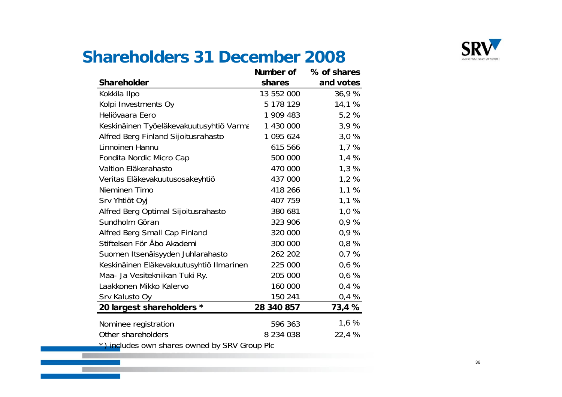

### **Shareholders 31 December 2008**

|                                               | Number of     | % of shares |
|-----------------------------------------------|---------------|-------------|
| <b>Shareholder</b>                            | shares        | and votes   |
| Kokkila Ilpo                                  | 13 552 000    | 36,9%       |
| Kolpi Investments Oy                          | 5 178 129     | 14,1 %      |
| Heliövaara Eero                               | 1 909 483     | 5,2%        |
| Keskinäinen Työeläkevakuutusyhtiö Varma       | 1 430 000     | 3,9%        |
| Alfred Berg Finland Sijoitusrahasto           | 1 095 624     | 3,0%        |
| Linnoinen Hannu                               | 615 566       | 1,7%        |
| Fondita Nordic Micro Cap                      | 500 000       | 1,4%        |
| Valtion Eläkerahasto                          | 470 000       | 1,3%        |
| Veritas Eläkevakuutusosakeyhtiö               | 437 000       | 1,2%        |
| Nieminen Timo                                 | 418 266       | 1,1%        |
| Srv Yhtiöt Oyj                                | 407 759       | 1,1%        |
| Alfred Berg Optimal Sijoitusrahasto           | 380 681       | 1,0%        |
| Sundholm Göran                                | 323 906       | 0,9%        |
| Alfred Berg Small Cap Finland                 | 320 000       | 0,9%        |
| Stiftelsen För Åbo Akademi                    | 300 000       | 0,8%        |
| Suomen Itsenäisyyden Juhlarahasto             | 262 202       | 0,7%        |
| Keskinäinen Eläkevakuutusyhtiö Ilmarinen      | 225 000       | 0,6%        |
| Maa- Ja Vesitekniikan Tuki Ry.                | 205 000       | 0,6%        |
| Laakkonen Mikko Kalervo                       | 160 000       | 0,4%        |
| Srv Kalusto Oy                                | 150 241       | 0,4%        |
| 20 largest shareholders *                     | 28 340 857    | 73,4 %      |
| Nominee registration                          | 596 363       | 1,6%        |
| Other shareholders                            | 8 2 3 4 0 3 8 | 22,4 %      |
| *) includes own shares owned by SRV Group Plc |               |             |